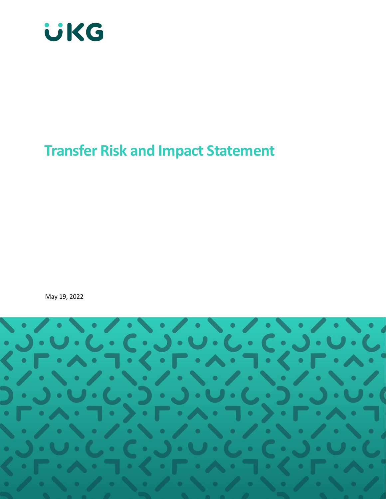

# **Transfer Risk and Impact Statement**

May 19, 2022

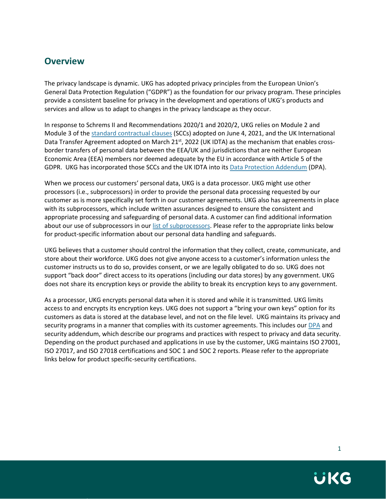## <span id="page-1-0"></span>**Overview**

The privacy landscape is dynamic. UKG has adopted privacy principles from the European Union's General Data Protection Regulation ("GDPR") as the foundation for our privacy program. These principles provide a consistent baseline for privacy in the development and operations of UKG's products and services and allow us to adapt to changes in the privacy landscape as they occur.

In response to Schrems II and Recommendations 2020/1 and 2020/2, UKG relies on Module 2 and Module 3 of the [standard contractual clauses](https://www.ukg.com/sites/default/files/media/files/DPA-Schedule-3-032522.pdf) (SCCs) adopted on June 4, 2021, and the UK International Data Transfer Agreement adopted on March 21<sup>st</sup>, 2022 (UK IDTA) as the mechanism that enables crossborder transfers of personal data between the EEA/UK and jurisdictions that are neither European Economic Area (EEA) members nor deemed adequate by the EU in accordance with Article 5 of the GDPR. UKG has incorporated those SCCs and the UK IDTA into it[s Data Protection Addendum](https://www.ukg.com/sites/default/files/media/files/UKG-Unified-DPA-Mar-2022.pdf) (DPA).

When we process our customers' personal data, UKG is a data processor. UKG might use other processors (i.e., subprocessors) in order to provide the personal data processing requested by our customer as is more specifically set forth in our customer agreements. UKG also has agreements in place with its subprocessors, which include written assurances designed to ensure the consistent and appropriate processing and safeguarding of personal data. A customer can find additional information about our use of subprocessors in our list of [subprocessors.](https://www.ukg.com/DPA-subprocessors) Please refer to the appropriate links below for product-specific information about our personal data handling and safeguards.

UKG believes that a customer should control the information that they collect, create, communicate, and store about their workforce. UKG does not give anyone access to a customer's information unless the customer instructs us to do so, provides consent, or we are legally obligated to do so. UKG does not support "back door" direct access to its operations (including our data stores) by any government. UKG does not share its encryption keys or provide the ability to break its encryption keys to any government.

As a processor, UKG encrypts personal data when it is stored and while it is transmitted. UKG limits access to and encrypts its encryption keys. UKG does not support a "bring your own keys" option for its customers as data is stored at the database level, and not on the file level. UKG maintains its privacy and security programs in a manner that complies with its customer agreements. This includes our [DPA](https://www.ukg.com/sites/default/files/media/files/UKG-Unified-DPA-Mar-2022.pdf) and security addendum, which describe our programs and practices with respect to privacy and data security. Depending on the product purchased and applications in use by the customer, UKG maintains ISO 27001, ISO 27017, and ISO 27018 certifications and SOC 1 and SOC 2 reports. Please refer to the appropriate links below for product specific-security certifications.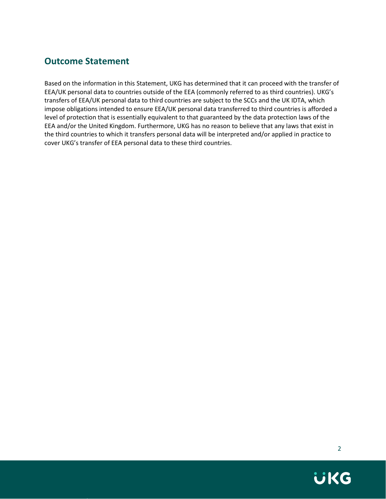# <span id="page-2-0"></span>**Outcome Statement**

Based on the information in this Statement, UKG has determined that it can proceed with the transfer of EEA/UK personal data to countries outside of the EEA (commonly referred to as third countries). UKG's transfers of EEA/UK personal data to third countries are subject to the SCCs and the UK IDTA, which impose obligations intended to ensure EEA/UK personal data transferred to third countries is afforded a level of protection that is essentially equivalent to that guaranteed by the data protection laws of the EEA and/or the United Kingdom. Furthermore, UKG has no reason to believe that any laws that exist in the third countries to which it transfers personal data will be interpreted and/or applied in practice to cover UKG's transfer of EEA personal data to these third countries.

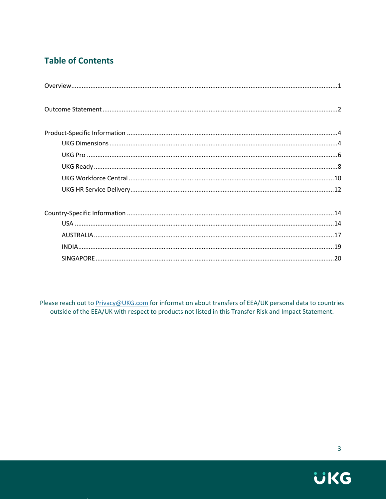# **Table of Contents**

Please reach out to Privacy@UKG.com for information about transfers of EEA/UK personal data to countries outside of the EEA/UK with respect to products not listed in this Transfer Risk and Impact Statement.

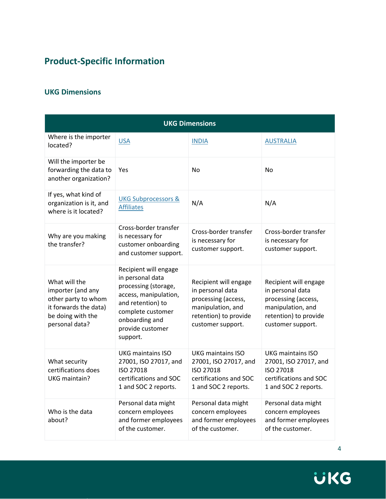# <span id="page-4-0"></span>**Product-Specific Information**

### <span id="page-4-1"></span>**UKG Dimensions**

| <b>UKG Dimensions</b>                                                                                                     |                                                                                                                                                                                        |                                                                                                                                     |                                                                                                                                     |
|---------------------------------------------------------------------------------------------------------------------------|----------------------------------------------------------------------------------------------------------------------------------------------------------------------------------------|-------------------------------------------------------------------------------------------------------------------------------------|-------------------------------------------------------------------------------------------------------------------------------------|
| Where is the importer<br>located?                                                                                         | <b>USA</b>                                                                                                                                                                             | <b>INDIA</b>                                                                                                                        | <b>AUSTRALIA</b>                                                                                                                    |
| Will the importer be<br>forwarding the data to<br>another organization?                                                   | Yes                                                                                                                                                                                    | <b>No</b>                                                                                                                           | No                                                                                                                                  |
| If yes, what kind of<br>organization is it, and<br>where is it located?                                                   | <b>UKG Subprocessors &amp;</b><br><b>Affiliates</b>                                                                                                                                    | N/A                                                                                                                                 | N/A                                                                                                                                 |
| Why are you making<br>the transfer?                                                                                       | Cross-border transfer<br>is necessary for<br>customer onboarding<br>and customer support.                                                                                              | Cross-border transfer<br>is necessary for<br>customer support.                                                                      | Cross-border transfer<br>is necessary for<br>customer support.                                                                      |
| What will the<br>importer (and any<br>other party to whom<br>it forwards the data)<br>be doing with the<br>personal data? | Recipient will engage<br>in personal data<br>processing (storage,<br>access, manipulation,<br>and retention) to<br>complete customer<br>onboarding and<br>provide customer<br>support. | Recipient will engage<br>in personal data<br>processing (access,<br>manipulation, and<br>retention) to provide<br>customer support. | Recipient will engage<br>in personal data<br>processing (access,<br>manipulation, and<br>retention) to provide<br>customer support. |
| What security<br>certifications does<br>UKG maintain?                                                                     | UKG maintains ISO<br>27001, ISO 27017, and<br>ISO 27018<br>certifications and SOC<br>1 and SOC 2 reports.                                                                              | UKG maintains ISO<br>27001, ISO 27017, and<br>ISO 27018<br>certifications and SOC<br>1 and SOC 2 reports.                           | <b>UKG maintains ISO</b><br>27001, ISO 27017, and<br>ISO 27018<br>certifications and SOC<br>1 and SOC 2 reports.                    |
| Who is the data<br>about?                                                                                                 | Personal data might<br>concern employees<br>and former employees<br>of the customer.                                                                                                   | Personal data might<br>concern employees<br>and former employees<br>of the customer.                                                | Personal data might<br>concern employees<br>and former employees<br>of the customer.                                                |

**UKG**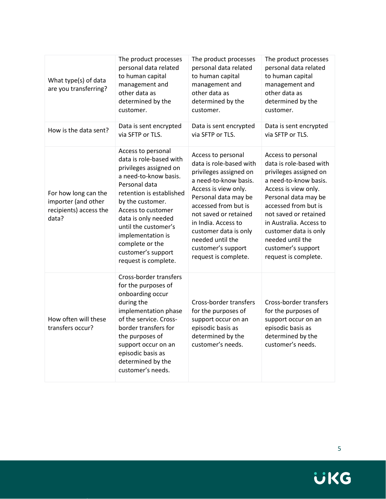| What type(s) of data<br>are you transferring?                                  | The product processes<br>personal data related<br>to human capital<br>management and<br>other data as<br>determined by the<br>customer.<br>Data is sent encrypted                                                                                                                                                            | The product processes<br>personal data related<br>to human capital<br>management and<br>other data as<br>determined by the<br>customer.<br>Data is sent encrypted                                                                                                                                                   | The product processes<br>personal data related<br>to human capital<br>management and<br>other data as<br>determined by the<br>customer.<br>Data is sent encrypted                                                                                                                                                       |
|--------------------------------------------------------------------------------|------------------------------------------------------------------------------------------------------------------------------------------------------------------------------------------------------------------------------------------------------------------------------------------------------------------------------|---------------------------------------------------------------------------------------------------------------------------------------------------------------------------------------------------------------------------------------------------------------------------------------------------------------------|-------------------------------------------------------------------------------------------------------------------------------------------------------------------------------------------------------------------------------------------------------------------------------------------------------------------------|
| How is the data sent?                                                          | via SFTP or TLS.                                                                                                                                                                                                                                                                                                             | via SFTP or TLS.                                                                                                                                                                                                                                                                                                    | via SFTP or TLS.                                                                                                                                                                                                                                                                                                        |
| For how long can the<br>importer (and other<br>recipients) access the<br>data? | Access to personal<br>data is role-based with<br>privileges assigned on<br>a need-to-know basis.<br>Personal data<br>retention is established<br>by the customer.<br>Access to customer<br>data is only needed<br>until the customer's<br>implementation is<br>complete or the<br>customer's support<br>request is complete. | Access to personal<br>data is role-based with<br>privileges assigned on<br>a need-to-know basis.<br>Access is view only.<br>Personal data may be<br>accessed from but is<br>not saved or retained<br>in India. Access to<br>customer data is only<br>needed until the<br>customer's support<br>request is complete. | Access to personal<br>data is role-based with<br>privileges assigned on<br>a need-to-know basis.<br>Access is view only.<br>Personal data may be<br>accessed from but is<br>not saved or retained<br>in Australia. Access to<br>customer data is only<br>needed until the<br>customer's support<br>request is complete. |
| How often will these<br>transfers occur?                                       | Cross-border transfers<br>for the purposes of<br>onboarding occur<br>during the<br>implementation phase<br>of the service. Cross-<br>border transfers for<br>the purposes of<br>support occur on an<br>episodic basis as<br>determined by the<br>customer's needs.                                                           | Cross-border transfers<br>for the purposes of<br>support occur on an<br>episodic basis as<br>determined by the<br>customer's needs.                                                                                                                                                                                 | Cross-border transfers<br>for the purposes of<br>support occur on an<br>episodic basis as<br>determined by the<br>customer's needs.                                                                                                                                                                                     |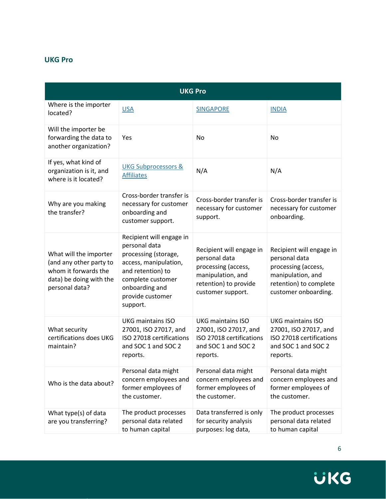#### <span id="page-6-0"></span>**UKG Pro**

| <b>UKG Pro</b>                                                                                                         |                                                                                                                                                                                        |                                                                                                                                     |                                                                                                                                         |
|------------------------------------------------------------------------------------------------------------------------|----------------------------------------------------------------------------------------------------------------------------------------------------------------------------------------|-------------------------------------------------------------------------------------------------------------------------------------|-----------------------------------------------------------------------------------------------------------------------------------------|
| Where is the importer<br>located?                                                                                      | <b>USA</b>                                                                                                                                                                             | <b>SINGAPORE</b>                                                                                                                    | <b>INDIA</b>                                                                                                                            |
| Will the importer be<br>forwarding the data to<br>another organization?                                                | Yes                                                                                                                                                                                    | No                                                                                                                                  | <b>No</b>                                                                                                                               |
| If yes, what kind of<br>organization is it, and<br>where is it located?                                                | <b>UKG Subprocessors &amp;</b><br><b>Affiliates</b>                                                                                                                                    | N/A                                                                                                                                 | N/A                                                                                                                                     |
| Why are you making<br>the transfer?                                                                                    | Cross-border transfer is<br>necessary for customer<br>onboarding and<br>customer support.                                                                                              | Cross-border transfer is<br>necessary for customer<br>support.                                                                      | Cross-border transfer is<br>necessary for customer<br>onboarding.                                                                       |
| What will the importer<br>(and any other party to<br>whom it forwards the<br>data) be doing with the<br>personal data? | Recipient will engage in<br>personal data<br>processing (storage,<br>access, manipulation,<br>and retention) to<br>complete customer<br>onboarding and<br>provide customer<br>support. | Recipient will engage in<br>personal data<br>processing (access,<br>manipulation, and<br>retention) to provide<br>customer support. | Recipient will engage in<br>personal data<br>processing (access,<br>manipulation, and<br>retention) to complete<br>customer onboarding. |
| What security<br>certifications does UKG<br>maintain?                                                                  | <b>UKG maintains ISO</b><br>27001, ISO 27017, and<br>ISO 27018 certifications<br>and SOC 1 and SOC 2<br>reports.                                                                       | <b>UKG maintains ISO</b><br>27001, ISO 27017, and<br>ISO 27018 certifications<br>and SOC 1 and SOC 2<br>reports.                    | <b>UKG maintains ISO</b><br>27001, ISO 27017, and<br>ISO 27018 certifications<br>and SOC 1 and SOC 2<br>reports.                        |
| Who is the data about?                                                                                                 | Personal data might<br>concern employees and<br>former employees of<br>the customer.                                                                                                   | Personal data might<br>concern employees and<br>former employees of<br>the customer.                                                | Personal data might<br>concern employees and<br>former employees of<br>the customer.                                                    |
| What type(s) of data<br>are you transferring?                                                                          | The product processes<br>personal data related<br>to human capital                                                                                                                     | Data transferred is only<br>for security analysis<br>purposes: log data,                                                            | The product processes<br>personal data related<br>to human capital                                                                      |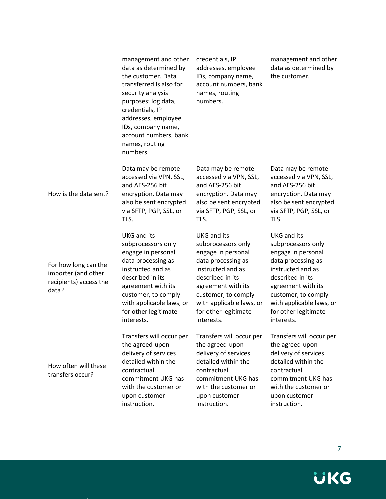|                                                                                | management and other<br>data as determined by<br>the customer. Data<br>transferred is also for<br>security analysis<br>purposes: log data,<br>credentials, IP<br>addresses, employee<br>IDs, company name,<br>account numbers, bank<br>names, routing<br>numbers. | credentials, IP<br>addresses, employee<br>IDs, company name,<br>account numbers, bank<br>names, routing<br>numbers.                                                                                                                          | management and other<br>data as determined by<br>the customer.                                                                                                                                                                               |
|--------------------------------------------------------------------------------|-------------------------------------------------------------------------------------------------------------------------------------------------------------------------------------------------------------------------------------------------------------------|----------------------------------------------------------------------------------------------------------------------------------------------------------------------------------------------------------------------------------------------|----------------------------------------------------------------------------------------------------------------------------------------------------------------------------------------------------------------------------------------------|
| How is the data sent?                                                          | Data may be remote<br>accessed via VPN, SSL,<br>and AES-256 bit<br>encryption. Data may<br>also be sent encrypted<br>via SFTP, PGP, SSL, or<br>TLS.                                                                                                               | Data may be remote<br>accessed via VPN, SSL,<br>and AES-256 bit<br>encryption. Data may<br>also be sent encrypted<br>via SFTP, PGP, SSL, or<br>TLS.                                                                                          | Data may be remote<br>accessed via VPN, SSL,<br>and AES-256 bit<br>encryption. Data may<br>also be sent encrypted<br>via SFTP, PGP, SSL, or<br>TLS.                                                                                          |
| For how long can the<br>importer (and other<br>recipients) access the<br>data? | <b>UKG</b> and its<br>subprocessors only<br>engage in personal<br>data processing as<br>instructed and as<br>described in its<br>agreement with its<br>customer, to comply<br>with applicable laws, or<br>for other legitimate<br>interests.                      | <b>UKG</b> and its<br>subprocessors only<br>engage in personal<br>data processing as<br>instructed and as<br>described in its<br>agreement with its<br>customer, to comply<br>with applicable laws, or<br>for other legitimate<br>interests. | <b>UKG and its</b><br>subprocessors only<br>engage in personal<br>data processing as<br>instructed and as<br>described in its<br>agreement with its<br>customer, to comply<br>with applicable laws, or<br>for other legitimate<br>interests. |
| How often will these<br>transfers occur?                                       | Transfers will occur per<br>the agreed-upon<br>delivery of services<br>detailed within the<br>contractual<br>commitment UKG has<br>with the customer or<br>upon customer<br>instruction.                                                                          | Transfers will occur per<br>the agreed-upon<br>delivery of services<br>detailed within the<br>contractual<br>commitment UKG has<br>with the customer or<br>upon customer<br>instruction.                                                     | Transfers will occur per<br>the agreed-upon<br>delivery of services<br>detailed within the<br>contractual<br>commitment UKG has<br>with the customer or<br>upon customer<br>instruction.                                                     |

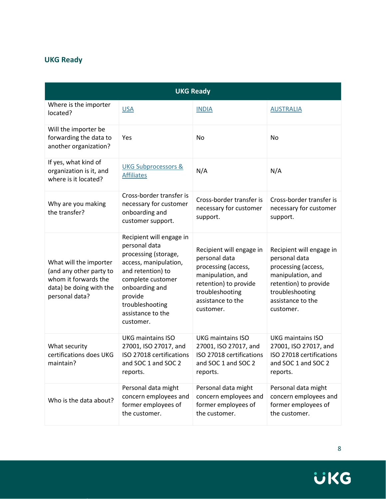# <span id="page-8-0"></span>**UKG Ready**

| <b>UKG Ready</b>                                                                                                       |                                                                                                                                                                                                                        |                                                                                                                                                                     |                                                                                                                                                                     |
|------------------------------------------------------------------------------------------------------------------------|------------------------------------------------------------------------------------------------------------------------------------------------------------------------------------------------------------------------|---------------------------------------------------------------------------------------------------------------------------------------------------------------------|---------------------------------------------------------------------------------------------------------------------------------------------------------------------|
| Where is the importer<br>located?                                                                                      | <b>USA</b>                                                                                                                                                                                                             | <b>INDIA</b>                                                                                                                                                        | <b>AUSTRALIA</b>                                                                                                                                                    |
| Will the importer be<br>forwarding the data to<br>another organization?                                                | Yes                                                                                                                                                                                                                    | No                                                                                                                                                                  | No                                                                                                                                                                  |
| If yes, what kind of<br>organization is it, and<br>where is it located?                                                | <b>UKG Subprocessors &amp;</b><br><b>Affiliates</b>                                                                                                                                                                    | N/A                                                                                                                                                                 | N/A                                                                                                                                                                 |
| Why are you making<br>the transfer?                                                                                    | Cross-border transfer is<br>necessary for customer<br>onboarding and<br>customer support.                                                                                                                              | Cross-border transfer is<br>necessary for customer<br>support.                                                                                                      | Cross-border transfer is<br>necessary for customer<br>support.                                                                                                      |
| What will the importer<br>(and any other party to<br>whom it forwards the<br>data) be doing with the<br>personal data? | Recipient will engage in<br>personal data<br>processing (storage,<br>access, manipulation,<br>and retention) to<br>complete customer<br>onboarding and<br>provide<br>troubleshooting<br>assistance to the<br>customer. | Recipient will engage in<br>personal data<br>processing (access,<br>manipulation, and<br>retention) to provide<br>troubleshooting<br>assistance to the<br>customer. | Recipient will engage in<br>personal data<br>processing (access,<br>manipulation, and<br>retention) to provide<br>troubleshooting<br>assistance to the<br>customer. |
| What security<br>certifications does UKG<br>maintain?                                                                  | <b>UKG maintains ISO</b><br>27001, ISO 27017, and<br>ISO 27018 certifications<br>and SOC 1 and SOC 2<br>reports.                                                                                                       | <b>UKG maintains ISO</b><br>27001, ISO 27017, and<br>ISO 27018 certifications<br>and SOC 1 and SOC 2<br>reports.                                                    | <b>UKG maintains ISO</b><br>27001, ISO 27017, and<br>ISO 27018 certifications<br>and SOC 1 and SOC 2<br>reports.                                                    |
| Who is the data about?                                                                                                 | Personal data might<br>concern employees and<br>former employees of<br>the customer.                                                                                                                                   | Personal data might<br>concern employees and<br>former employees of<br>the customer.                                                                                | Personal data might<br>concern employees and<br>former employees of<br>the customer.                                                                                |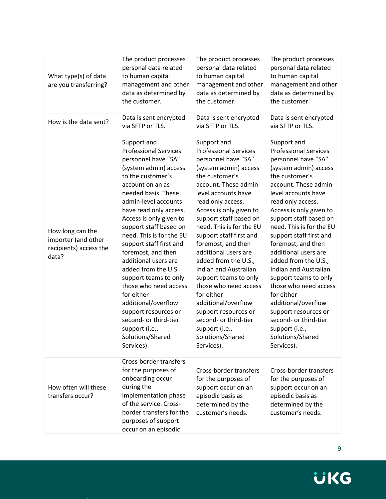| What type(s) of data<br>are you transferring?                              | The product processes<br>personal data related<br>to human capital<br>management and other<br>data as determined by<br>the customer.                                                                                                                                                                                                                                                                                                                                                                                                                                                        | The product processes<br>personal data related<br>to human capital<br>management and other<br>data as determined by<br>the customer.                                                                                                                                                                                                                                                                                                                                                                                                                                                      | The product processes<br>personal data related<br>to human capital<br>management and other<br>data as determined by<br>the customer.                                                                                                                                                                                                                                                                                                                                                                                                                                                      |
|----------------------------------------------------------------------------|---------------------------------------------------------------------------------------------------------------------------------------------------------------------------------------------------------------------------------------------------------------------------------------------------------------------------------------------------------------------------------------------------------------------------------------------------------------------------------------------------------------------------------------------------------------------------------------------|-------------------------------------------------------------------------------------------------------------------------------------------------------------------------------------------------------------------------------------------------------------------------------------------------------------------------------------------------------------------------------------------------------------------------------------------------------------------------------------------------------------------------------------------------------------------------------------------|-------------------------------------------------------------------------------------------------------------------------------------------------------------------------------------------------------------------------------------------------------------------------------------------------------------------------------------------------------------------------------------------------------------------------------------------------------------------------------------------------------------------------------------------------------------------------------------------|
| How is the data sent?                                                      | Data is sent encrypted<br>via SFTP or TLS.                                                                                                                                                                                                                                                                                                                                                                                                                                                                                                                                                  | Data is sent encrypted<br>via SFTP or TLS.                                                                                                                                                                                                                                                                                                                                                                                                                                                                                                                                                | Data is sent encrypted<br>via SFTP or TLS.                                                                                                                                                                                                                                                                                                                                                                                                                                                                                                                                                |
| How long can the<br>importer (and other<br>recipients) access the<br>data? | Support and<br><b>Professional Services</b><br>personnel have "SA"<br>(system admin) access<br>to the customer's<br>account on an as-<br>needed basis. These<br>admin-level accounts<br>have read only access.<br>Access is only given to<br>support staff based on<br>need. This is for the EU<br>support staff first and<br>foremost, and then<br>additional users are<br>added from the U.S.<br>support teams to only<br>those who need access<br>for either<br>additional/overflow<br>support resources or<br>second- or third-tier<br>support (i.e.,<br>Solutions/Shared<br>Services). | Support and<br><b>Professional Services</b><br>personnel have "SA"<br>(system admin) access<br>the customer's<br>account. These admin-<br>level accounts have<br>read only access.<br>Access is only given to<br>support staff based on<br>need. This is for the EU<br>support staff first and<br>foremost, and then<br>additional users are<br>added from the U.S.,<br>Indian and Australian<br>support teams to only<br>those who need access<br>for either<br>additional/overflow<br>support resources or<br>second- or third-tier<br>support (i.e.,<br>Solutions/Shared<br>Services). | Support and<br><b>Professional Services</b><br>personnel have "SA"<br>(system admin) access<br>the customer's<br>account. These admin-<br>level accounts have<br>read only access.<br>Access is only given to<br>support staff based on<br>need. This is for the EU<br>support staff first and<br>foremost, and then<br>additional users are<br>added from the U.S.,<br>Indian and Australian<br>support teams to only<br>those who need access<br>for either<br>additional/overflow<br>support resources or<br>second- or third-tier<br>support (i.e.,<br>Solutions/Shared<br>Services). |
| How often will these<br>transfers occur?                                   | Cross-border transfers<br>for the purposes of<br>onboarding occur<br>during the<br>implementation phase<br>of the service. Cross-<br>border transfers for the<br>purposes of support<br>occur on an episodic                                                                                                                                                                                                                                                                                                                                                                                | Cross-border transfers<br>for the purposes of<br>support occur on an<br>episodic basis as<br>determined by the<br>customer's needs.                                                                                                                                                                                                                                                                                                                                                                                                                                                       | Cross-border transfers<br>for the purposes of<br>support occur on an<br>episodic basis as<br>determined by the<br>customer's needs.                                                                                                                                                                                                                                                                                                                                                                                                                                                       |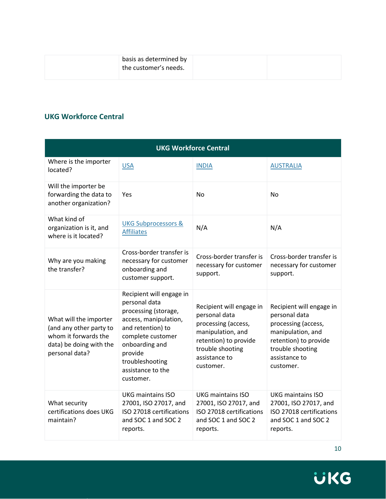| basis as determined by<br>the customer's needs. |  |
|-------------------------------------------------|--|
|                                                 |  |

#### <span id="page-10-0"></span>**UKG Workforce Central**

| <b>UKG Workforce Central</b>                                                                                           |                                                                                                                                                                                                                        |                                                                                                                                                                  |                                                                                                                                                                  |  |
|------------------------------------------------------------------------------------------------------------------------|------------------------------------------------------------------------------------------------------------------------------------------------------------------------------------------------------------------------|------------------------------------------------------------------------------------------------------------------------------------------------------------------|------------------------------------------------------------------------------------------------------------------------------------------------------------------|--|
| Where is the importer<br>located?                                                                                      | <b>USA</b>                                                                                                                                                                                                             | <b>INDIA</b>                                                                                                                                                     | <b>AUSTRALIA</b>                                                                                                                                                 |  |
| Will the importer be<br>forwarding the data to<br>another organization?                                                | Yes                                                                                                                                                                                                                    | <b>No</b>                                                                                                                                                        | No                                                                                                                                                               |  |
| What kind of<br>organization is it, and<br>where is it located?                                                        | <b>UKG Subprocessors &amp;</b><br><b>Affiliates</b>                                                                                                                                                                    | N/A                                                                                                                                                              | N/A                                                                                                                                                              |  |
| Why are you making<br>the transfer?                                                                                    | Cross-border transfer is<br>necessary for customer<br>onboarding and<br>customer support.                                                                                                                              | Cross-border transfer is<br>necessary for customer<br>support.                                                                                                   | Cross-border transfer is<br>necessary for customer<br>support.                                                                                                   |  |
| What will the importer<br>(and any other party to<br>whom it forwards the<br>data) be doing with the<br>personal data? | Recipient will engage in<br>personal data<br>processing (storage,<br>access, manipulation,<br>and retention) to<br>complete customer<br>onboarding and<br>provide<br>troubleshooting<br>assistance to the<br>customer. | Recipient will engage in<br>personal data<br>processing (access,<br>manipulation, and<br>retention) to provide<br>trouble shooting<br>assistance to<br>customer. | Recipient will engage in<br>personal data<br>processing (access,<br>manipulation, and<br>retention) to provide<br>trouble shooting<br>assistance to<br>customer. |  |
| What security<br>certifications does UKG<br>maintain?                                                                  | <b>UKG maintains ISO</b><br>27001, ISO 27017, and<br>ISO 27018 certifications<br>and SOC 1 and SOC 2<br>reports.                                                                                                       | <b>UKG maintains ISO</b><br>27001, ISO 27017, and<br>ISO 27018 certifications<br>and SOC 1 and SOC 2<br>reports.                                                 | <b>UKG maintains ISO</b><br>27001, ISO 27017, and<br>ISO 27018 certifications<br>and SOC 1 and SOC 2<br>reports.                                                 |  |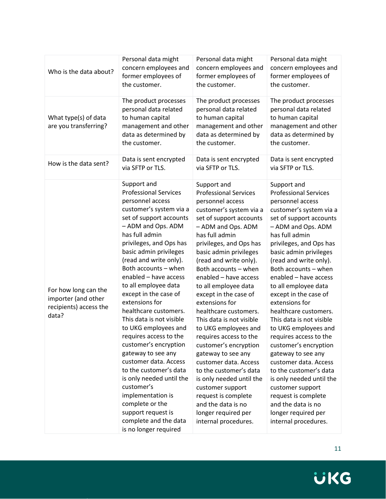| Who is the data about?                                                         | Personal data might                                                                                                                                                                                                                                                                                                                                                                                                                                                                                                                                                                                                                                                                                                                 | Personal data might                                                                                                                                                                                                                                                                                                                                                                                                                                                                                                                                                                                                                                                                                                   | Personal data might                                                                                                                                                                                                                                                                                                                                                                                                                                                                                                                                                                                                                                                                                                   |
|--------------------------------------------------------------------------------|-------------------------------------------------------------------------------------------------------------------------------------------------------------------------------------------------------------------------------------------------------------------------------------------------------------------------------------------------------------------------------------------------------------------------------------------------------------------------------------------------------------------------------------------------------------------------------------------------------------------------------------------------------------------------------------------------------------------------------------|-----------------------------------------------------------------------------------------------------------------------------------------------------------------------------------------------------------------------------------------------------------------------------------------------------------------------------------------------------------------------------------------------------------------------------------------------------------------------------------------------------------------------------------------------------------------------------------------------------------------------------------------------------------------------------------------------------------------------|-----------------------------------------------------------------------------------------------------------------------------------------------------------------------------------------------------------------------------------------------------------------------------------------------------------------------------------------------------------------------------------------------------------------------------------------------------------------------------------------------------------------------------------------------------------------------------------------------------------------------------------------------------------------------------------------------------------------------|
|                                                                                | concern employees and                                                                                                                                                                                                                                                                                                                                                                                                                                                                                                                                                                                                                                                                                                               | concern employees and                                                                                                                                                                                                                                                                                                                                                                                                                                                                                                                                                                                                                                                                                                 | concern employees and                                                                                                                                                                                                                                                                                                                                                                                                                                                                                                                                                                                                                                                                                                 |
|                                                                                | former employees of                                                                                                                                                                                                                                                                                                                                                                                                                                                                                                                                                                                                                                                                                                                 | former employees of                                                                                                                                                                                                                                                                                                                                                                                                                                                                                                                                                                                                                                                                                                   | former employees of                                                                                                                                                                                                                                                                                                                                                                                                                                                                                                                                                                                                                                                                                                   |
|                                                                                | the customer.                                                                                                                                                                                                                                                                                                                                                                                                                                                                                                                                                                                                                                                                                                                       | the customer.                                                                                                                                                                                                                                                                                                                                                                                                                                                                                                                                                                                                                                                                                                         | the customer.                                                                                                                                                                                                                                                                                                                                                                                                                                                                                                                                                                                                                                                                                                         |
| What type(s) of data<br>are you transferring?                                  | The product processes<br>personal data related<br>to human capital<br>management and other<br>data as determined by<br>the customer.                                                                                                                                                                                                                                                                                                                                                                                                                                                                                                                                                                                                | The product processes<br>personal data related<br>to human capital<br>management and other<br>data as determined by<br>the customer.                                                                                                                                                                                                                                                                                                                                                                                                                                                                                                                                                                                  | The product processes<br>personal data related<br>to human capital<br>management and other<br>data as determined by<br>the customer.                                                                                                                                                                                                                                                                                                                                                                                                                                                                                                                                                                                  |
| How is the data sent?                                                          | Data is sent encrypted                                                                                                                                                                                                                                                                                                                                                                                                                                                                                                                                                                                                                                                                                                              | Data is sent encrypted                                                                                                                                                                                                                                                                                                                                                                                                                                                                                                                                                                                                                                                                                                | Data is sent encrypted                                                                                                                                                                                                                                                                                                                                                                                                                                                                                                                                                                                                                                                                                                |
|                                                                                | via SFTP or TLS.                                                                                                                                                                                                                                                                                                                                                                                                                                                                                                                                                                                                                                                                                                                    | via SFTP or TLS.                                                                                                                                                                                                                                                                                                                                                                                                                                                                                                                                                                                                                                                                                                      | via SFTP or TLS.                                                                                                                                                                                                                                                                                                                                                                                                                                                                                                                                                                                                                                                                                                      |
| For how long can the<br>importer (and other<br>recipients) access the<br>data? | Support and<br><b>Professional Services</b><br>personnel access<br>customer's system via a<br>set of support accounts<br>- ADM and Ops. ADM<br>has full admin<br>privileges, and Ops has<br>basic admin privileges<br>(read and write only).<br>Both accounts - when<br>enabled - have access<br>to all employee data<br>except in the case of<br>extensions for<br>healthcare customers.<br>This data is not visible<br>to UKG employees and<br>requires access to the<br>customer's encryption<br>gateway to see any<br>customer data. Access<br>to the customer's data<br>is only needed until the<br>customer's<br>implementation is<br>complete or the<br>support request is<br>complete and the data<br>is no longer required | Support and<br><b>Professional Services</b><br>personnel access<br>customer's system via a<br>set of support accounts<br>- ADM and Ops. ADM<br>has full admin<br>privileges, and Ops has<br>basic admin privileges<br>(read and write only).<br>Both accounts - when<br>enabled - have access<br>to all employee data<br>except in the case of<br>extensions for<br>healthcare customers.<br>This data is not visible<br>to UKG employees and<br>requires access to the<br>customer's encryption<br>gateway to see any<br>customer data. Access<br>to the customer's data<br>is only needed until the<br>customer support<br>request is complete<br>and the data is no<br>longer required per<br>internal procedures. | Support and<br><b>Professional Services</b><br>personnel access<br>customer's system via a<br>set of support accounts<br>- ADM and Ops. ADM<br>has full admin<br>privileges, and Ops has<br>basic admin privileges<br>(read and write only).<br>Both accounts - when<br>enabled - have access<br>to all employee data<br>except in the case of<br>extensions for<br>healthcare customers.<br>This data is not visible<br>to UKG employees and<br>requires access to the<br>customer's encryption<br>gateway to see any<br>customer data. Access<br>to the customer's data<br>is only needed until the<br>customer support<br>request is complete<br>and the data is no<br>longer required per<br>internal procedures. |

11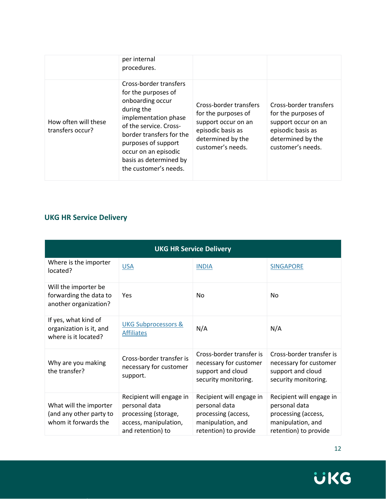|                                          | per internal<br>procedures.                                                                                                                                                                                                                                     |                                                                                                                                     |                                                                                                                                     |
|------------------------------------------|-----------------------------------------------------------------------------------------------------------------------------------------------------------------------------------------------------------------------------------------------------------------|-------------------------------------------------------------------------------------------------------------------------------------|-------------------------------------------------------------------------------------------------------------------------------------|
| How often will these<br>transfers occur? | Cross-border transfers<br>for the purposes of<br>onboarding occur<br>during the<br>implementation phase<br>of the service. Cross-<br>border transfers for the<br>purposes of support<br>occur on an episodic<br>basis as determined by<br>the customer's needs. | Cross-border transfers<br>for the purposes of<br>support occur on an<br>episodic basis as<br>determined by the<br>customer's needs. | Cross-border transfers<br>for the purposes of<br>support occur on an<br>episodic basis as<br>determined by the<br>customer's needs. |

### <span id="page-12-0"></span>**UKG HR Service Delivery**

| <b>UKG HR Service Delivery</b>                                            |                                                                                                                 |                                                                                                                |                                                                                                                |  |
|---------------------------------------------------------------------------|-----------------------------------------------------------------------------------------------------------------|----------------------------------------------------------------------------------------------------------------|----------------------------------------------------------------------------------------------------------------|--|
| Where is the importer<br>located?                                         | <b>USA</b>                                                                                                      | <b>INDIA</b>                                                                                                   | <b>SINGAPORE</b>                                                                                               |  |
| Will the importer be<br>forwarding the data to<br>another organization?   | Yes                                                                                                             | <b>No</b>                                                                                                      | <b>No</b>                                                                                                      |  |
| If yes, what kind of<br>organization is it, and<br>where is it located?   | <b>UKG Subprocessors &amp;</b><br><b>Affiliates</b>                                                             | N/A                                                                                                            | N/A                                                                                                            |  |
| Why are you making<br>the transfer?                                       | Cross-border transfer is<br>necessary for customer<br>support.                                                  | Cross-border transfer is<br>necessary for customer<br>support and cloud<br>security monitoring.                | Cross-border transfer is<br>necessary for customer<br>support and cloud<br>security monitoring.                |  |
| What will the importer<br>(and any other party to<br>whom it forwards the | Recipient will engage in<br>personal data<br>processing (storage,<br>access, manipulation,<br>and retention) to | Recipient will engage in<br>personal data<br>processing (access,<br>manipulation, and<br>retention) to provide | Recipient will engage in<br>personal data<br>processing (access,<br>manipulation, and<br>retention) to provide |  |

12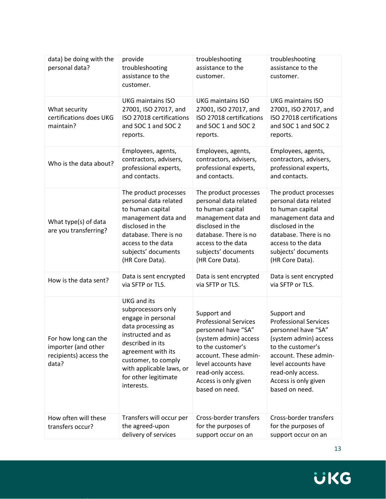| data) be doing with the<br>personal data?                                      | provide<br>troubleshooting<br>assistance to the<br>customer.                                                                                                                                                                                 | troubleshooting<br>assistance to the<br>customer.                                                                                                                                                                               | troubleshooting<br>assistance to the<br>customer.                                                                                                                                                                               |
|--------------------------------------------------------------------------------|----------------------------------------------------------------------------------------------------------------------------------------------------------------------------------------------------------------------------------------------|---------------------------------------------------------------------------------------------------------------------------------------------------------------------------------------------------------------------------------|---------------------------------------------------------------------------------------------------------------------------------------------------------------------------------------------------------------------------------|
| What security<br>certifications does UKG<br>maintain?                          | <b>UKG maintains ISO</b><br>27001, ISO 27017, and<br>ISO 27018 certifications<br>and SOC 1 and SOC 2<br>reports.                                                                                                                             | <b>UKG maintains ISO</b><br>27001, ISO 27017, and<br>ISO 27018 certifications<br>and SOC 1 and SOC 2<br>reports.                                                                                                                | <b>UKG maintains ISO</b><br>27001, ISO 27017, and<br>ISO 27018 certifications<br>and SOC 1 and SOC 2<br>reports.                                                                                                                |
| Who is the data about?                                                         | Employees, agents,<br>contractors, advisers,<br>professional experts,<br>and contacts.                                                                                                                                                       | Employees, agents,<br>contractors, advisers,<br>professional experts,<br>and contacts.                                                                                                                                          | Employees, agents,<br>contractors, advisers,<br>professional experts,<br>and contacts.                                                                                                                                          |
| What type(s) of data<br>are you transferring?                                  | The product processes<br>personal data related<br>to human capital<br>management data and<br>disclosed in the<br>database. There is no<br>access to the data<br>subjects' documents<br>(HR Core Data).                                       | The product processes<br>personal data related<br>to human capital<br>management data and<br>disclosed in the<br>database. There is no<br>access to the data<br>subjects' documents<br>(HR Core Data).                          | The product processes<br>personal data related<br>to human capital<br>management data and<br>disclosed in the<br>database. There is no<br>access to the data<br>subjects' documents<br>(HR Core Data).                          |
| How is the data sent?                                                          | Data is sent encrypted<br>via SFTP or TLS.                                                                                                                                                                                                   | Data is sent encrypted<br>via SFTP or TLS.                                                                                                                                                                                      | Data is sent encrypted<br>via SFTP or TLS.                                                                                                                                                                                      |
| For how long can the<br>importer (and other<br>recipients) access the<br>data? | <b>UKG</b> and its<br>subprocessors only<br>engage in personal<br>data processing as<br>instructed and as<br>described in its<br>agreement with its<br>customer, to comply<br>with applicable laws, or<br>for other legitimate<br>interests. | Support and<br><b>Professional Services</b><br>personnel have "SA"<br>(system admin) access<br>to the customer's<br>account. These admin-<br>level accounts have<br>read-only access.<br>Access is only given<br>based on need. | Support and<br><b>Professional Services</b><br>personnel have "SA"<br>(system admin) access<br>to the customer's<br>account. These admin-<br>level accounts have<br>read-only access.<br>Access is only given<br>based on need. |
| How often will these<br>transfers occur?                                       | Transfers will occur per<br>the agreed-upon<br>delivery of services                                                                                                                                                                          | Cross-border transfers<br>for the purposes of<br>support occur on an                                                                                                                                                            | Cross-border transfers<br>for the purposes of<br>support occur on an                                                                                                                                                            |

13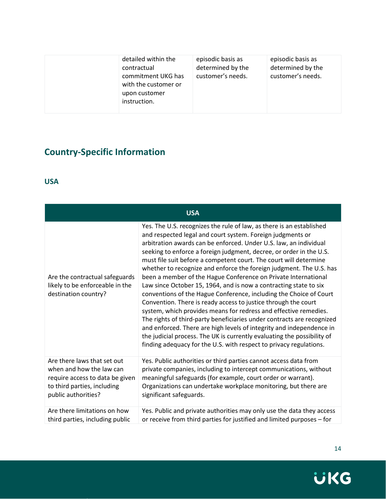| detailed within the<br>contractual<br>commitment UKG has<br>with the customer or<br>upon customer<br>instruction. | episodic basis as<br>determined by the<br>customer's needs. | episodic basis as<br>determined by the<br>customer's needs. |
|-------------------------------------------------------------------------------------------------------------------|-------------------------------------------------------------|-------------------------------------------------------------|
|-------------------------------------------------------------------------------------------------------------------|-------------------------------------------------------------|-------------------------------------------------------------|

# <span id="page-14-0"></span>**Country-Specific Information**

#### <span id="page-14-1"></span>**USA**

| <b>USA</b>                                                                                |                                                                                                                                                                                                                                                                                                                                                                                                                                                                                                                                                                                                                                                                                                                                                                                                                                                                                                                                                                                                                                                                                  |  |
|-------------------------------------------------------------------------------------------|----------------------------------------------------------------------------------------------------------------------------------------------------------------------------------------------------------------------------------------------------------------------------------------------------------------------------------------------------------------------------------------------------------------------------------------------------------------------------------------------------------------------------------------------------------------------------------------------------------------------------------------------------------------------------------------------------------------------------------------------------------------------------------------------------------------------------------------------------------------------------------------------------------------------------------------------------------------------------------------------------------------------------------------------------------------------------------|--|
| Are the contractual safeguards<br>likely to be enforceable in the<br>destination country? | Yes. The U.S. recognizes the rule of law, as there is an established<br>and respected legal and court system. Foreign judgments or<br>arbitration awards can be enforced. Under U.S. law, an individual<br>seeking to enforce a foreign judgment, decree, or order in the U.S.<br>must file suit before a competent court. The court will determine<br>whether to recognize and enforce the foreign judgment. The U.S. has<br>been a member of the Hague Conference on Private International<br>Law since October 15, 1964, and is now a contracting state to six<br>conventions of the Hague Conference, including the Choice of Court<br>Convention. There is ready access to justice through the court<br>system, which provides means for redress and effective remedies.<br>The rights of third-party beneficiaries under contracts are recognized<br>and enforced. There are high levels of integrity and independence in<br>the judicial process. The UK is currently evaluating the possibility of<br>finding adequacy for the U.S. with respect to privacy regulations. |  |
| Are there laws that set out                                                               | Yes. Public authorities or third parties cannot access data from                                                                                                                                                                                                                                                                                                                                                                                                                                                                                                                                                                                                                                                                                                                                                                                                                                                                                                                                                                                                                 |  |
| when and how the law can                                                                  | private companies, including to intercept communications, without                                                                                                                                                                                                                                                                                                                                                                                                                                                                                                                                                                                                                                                                                                                                                                                                                                                                                                                                                                                                                |  |
| require access to data be given                                                           | meaningful safeguards (for example, court order or warrant).                                                                                                                                                                                                                                                                                                                                                                                                                                                                                                                                                                                                                                                                                                                                                                                                                                                                                                                                                                                                                     |  |
| to third parties, including                                                               | Organizations can undertake workplace monitoring, but there are                                                                                                                                                                                                                                                                                                                                                                                                                                                                                                                                                                                                                                                                                                                                                                                                                                                                                                                                                                                                                  |  |
| public authorities?                                                                       | significant safeguards.                                                                                                                                                                                                                                                                                                                                                                                                                                                                                                                                                                                                                                                                                                                                                                                                                                                                                                                                                                                                                                                          |  |
| Are there limitations on how                                                              | Yes. Public and private authorities may only use the data they access                                                                                                                                                                                                                                                                                                                                                                                                                                                                                                                                                                                                                                                                                                                                                                                                                                                                                                                                                                                                            |  |
| third parties, including public                                                           | or receive from third parties for justified and limited purposes - for                                                                                                                                                                                                                                                                                                                                                                                                                                                                                                                                                                                                                                                                                                                                                                                                                                                                                                                                                                                                           |  |

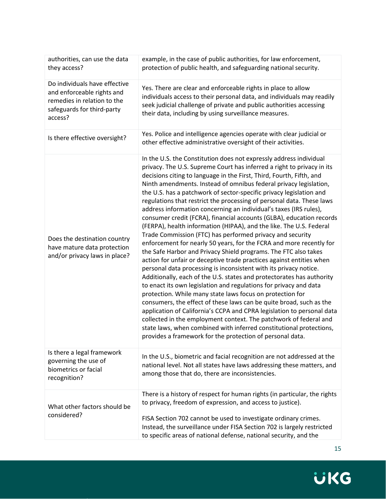| authorities, can use the data<br>they access?                                                                                       | example, in the case of public authorities, for law enforcement,<br>protection of public health, and safeguarding national security.                                                                                                                                                                                                                                                                                                                                                                                                                                                                                                                                                                                                                                                                                                                                                                                                                                                                                                                                                                                                                                                                                                                                                                                                                                                                                                                                                                                                                                                   |
|-------------------------------------------------------------------------------------------------------------------------------------|----------------------------------------------------------------------------------------------------------------------------------------------------------------------------------------------------------------------------------------------------------------------------------------------------------------------------------------------------------------------------------------------------------------------------------------------------------------------------------------------------------------------------------------------------------------------------------------------------------------------------------------------------------------------------------------------------------------------------------------------------------------------------------------------------------------------------------------------------------------------------------------------------------------------------------------------------------------------------------------------------------------------------------------------------------------------------------------------------------------------------------------------------------------------------------------------------------------------------------------------------------------------------------------------------------------------------------------------------------------------------------------------------------------------------------------------------------------------------------------------------------------------------------------------------------------------------------------|
| Do individuals have effective<br>and enforceable rights and<br>remedies in relation to the<br>safeguards for third-party<br>access? | Yes. There are clear and enforceable rights in place to allow<br>individuals access to their personal data, and individuals may readily<br>seek judicial challenge of private and public authorities accessing<br>their data, including by using surveillance measures.                                                                                                                                                                                                                                                                                                                                                                                                                                                                                                                                                                                                                                                                                                                                                                                                                                                                                                                                                                                                                                                                                                                                                                                                                                                                                                                |
| Is there effective oversight?                                                                                                       | Yes. Police and intelligence agencies operate with clear judicial or<br>other effective administrative oversight of their activities.                                                                                                                                                                                                                                                                                                                                                                                                                                                                                                                                                                                                                                                                                                                                                                                                                                                                                                                                                                                                                                                                                                                                                                                                                                                                                                                                                                                                                                                  |
| Does the destination country<br>have mature data protection<br>and/or privacy laws in place?                                        | In the U.S. the Constitution does not expressly address individual<br>privacy. The U.S. Supreme Court has inferred a right to privacy in its<br>decisions citing to language in the First, Third, Fourth, Fifth, and<br>Ninth amendments. Instead of omnibus federal privacy legislation,<br>the U.S. has a patchwork of sector-specific privacy legislation and<br>regulations that restrict the processing of personal data. These laws<br>address information concerning an individual's taxes (IRS rules),<br>consumer credit (FCRA), financial accounts (GLBA), education records<br>(FERPA), health information (HIPAA), and the like. The U.S. Federal<br>Trade Commission (FTC) has performed privacy and security<br>enforcement for nearly 50 years, for the FCRA and more recently for<br>the Safe Harbor and Privacy Shield programs. The FTC also takes<br>action for unfair or deceptive trade practices against entities when<br>personal data processing is inconsistent with its privacy notice.<br>Additionally, each of the U.S. states and protectorates has authority<br>to enact its own legislation and regulations for privacy and data<br>protection. While many state laws focus on protection for<br>consumers, the effect of these laws can be quite broad, such as the<br>application of California's CCPA and CPRA legislation to personal data<br>collected in the employment context. The patchwork of federal and<br>state laws, when combined with inferred constitutional protections,<br>provides a framework for the protection of personal data. |
| Is there a legal framework<br>governing the use of<br>biometrics or facial<br>recognition?                                          | In the U.S., biometric and facial recognition are not addressed at the<br>national level. Not all states have laws addressing these matters, and<br>among those that do, there are inconsistencies.                                                                                                                                                                                                                                                                                                                                                                                                                                                                                                                                                                                                                                                                                                                                                                                                                                                                                                                                                                                                                                                                                                                                                                                                                                                                                                                                                                                    |
| What other factors should be<br>considered?                                                                                         | There is a history of respect for human rights (in particular, the rights<br>to privacy, freedom of expression, and access to justice).<br>FISA Section 702 cannot be used to investigate ordinary crimes.<br>Instead, the surveillance under FISA Section 702 is largely restricted<br>to specific areas of national defense, national security, and the                                                                                                                                                                                                                                                                                                                                                                                                                                                                                                                                                                                                                                                                                                                                                                                                                                                                                                                                                                                                                                                                                                                                                                                                                              |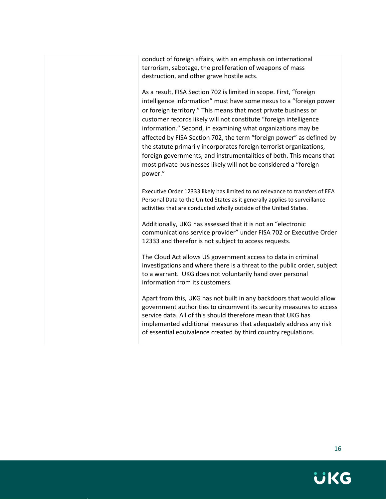conduct of foreign affairs, with an emphasis on international terrorism, sabotage, the proliferation of weapons of mass destruction, and other grave hostile acts.

As a result, FISA Section 702 is limited in scope. First, "foreign intelligence information" must have some nexus to a "foreign power or foreign territory." This means that most private business or customer records likely will not constitute "foreign intelligence information." Second, in examining what organizations may be affected by FISA Section 702, the term "foreign power" as defined by the statute primarily incorporates foreign terrorist organizations, foreign governments, and instrumentalities of both. This means that most private businesses likely will not be considered a "foreign power."

Executive Order 12333 likely has limited to no relevance to transfers of EEA Personal Data to the United States as it generally applies to surveillance activities that are conducted wholly outside of the United States.

Additionally, UKG has assessed that it is not an "electronic communications service provider" under FISA 702 or Executive Order 12333 and therefor is not subject to access requests.

The Cloud Act allows US government access to data in criminal investigations and where there is a threat to the public order, subject to a warrant. UKG does not voluntarily hand over personal information from its customers.

Apart from this, UKG has not built in any backdoors that would allow government authorities to circumvent its security measures to access service data. All of this should therefore mean that UKG has implemented additional measures that adequately address any risk of essential equivalence created by third country regulations.

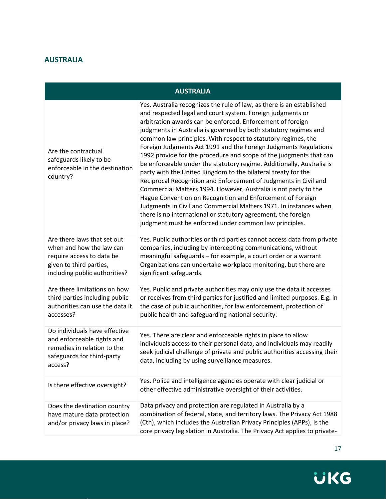#### <span id="page-17-0"></span>**AUSTRALIA**

#### **AUSTRALIA**

| Are the contractual<br>safeguards likely to be<br>enforceable in the destination<br>country?                                                     | Yes. Australia recognizes the rule of law, as there is an established<br>and respected legal and court system. Foreign judgments or<br>arbitration awards can be enforced. Enforcement of foreign<br>judgments in Australia is governed by both statutory regimes and<br>common law principles. With respect to statutory regimes, the<br>Foreign Judgments Act 1991 and the Foreign Judgments Regulations<br>1992 provide for the procedure and scope of the judgments that can<br>be enforceable under the statutory regime. Additionally, Australia is<br>party with the United Kingdom to the bilateral treaty for the<br>Reciprocal Recognition and Enforcement of Judgments in Civil and<br>Commercial Matters 1994. However, Australia is not party to the<br>Hague Convention on Recognition and Enforcement of Foreign<br>Judgments in Civil and Commercial Matters 1971. In instances when<br>there is no international or statutory agreement, the foreign<br>judgment must be enforced under common law principles. |
|--------------------------------------------------------------------------------------------------------------------------------------------------|---------------------------------------------------------------------------------------------------------------------------------------------------------------------------------------------------------------------------------------------------------------------------------------------------------------------------------------------------------------------------------------------------------------------------------------------------------------------------------------------------------------------------------------------------------------------------------------------------------------------------------------------------------------------------------------------------------------------------------------------------------------------------------------------------------------------------------------------------------------------------------------------------------------------------------------------------------------------------------------------------------------------------------|
| Are there laws that set out<br>when and how the law can<br>require access to data be<br>given to third parties,<br>including public authorities? | Yes. Public authorities or third parties cannot access data from private<br>companies, including by intercepting communications, without<br>meaningful safeguards - for example, a court order or a warrant<br>Organizations can undertake workplace monitoring, but there are<br>significant safeguards.                                                                                                                                                                                                                                                                                                                                                                                                                                                                                                                                                                                                                                                                                                                       |
| Are there limitations on how<br>third parties including public<br>authorities can use the data it<br>accesses?                                   | Yes. Public and private authorities may only use the data it accesses<br>or receives from third parties for justified and limited purposes. E.g. in<br>the case of public authorities, for law enforcement, protection of<br>public health and safeguarding national security.                                                                                                                                                                                                                                                                                                                                                                                                                                                                                                                                                                                                                                                                                                                                                  |
| Do individuals have effective<br>and enforceable rights and<br>remedies in relation to the<br>safeguards for third-party<br>access?              | Yes. There are clear and enforceable rights in place to allow<br>individuals access to their personal data, and individuals may readily<br>seek judicial challenge of private and public authorities accessing their<br>data, including by using surveillance measures.                                                                                                                                                                                                                                                                                                                                                                                                                                                                                                                                                                                                                                                                                                                                                         |
| Is there effective oversight?                                                                                                                    | Yes. Police and intelligence agencies operate with clear judicial or<br>other effective administrative oversight of their activities.                                                                                                                                                                                                                                                                                                                                                                                                                                                                                                                                                                                                                                                                                                                                                                                                                                                                                           |
| Does the destination country<br>have mature data protection<br>and/or privacy laws in place?                                                     | Data privacy and protection are regulated in Australia by a<br>combination of federal, state, and territory laws. The Privacy Act 1988<br>(Cth), which includes the Australian Privacy Principles (APPs), is the<br>core privacy legislation in Australia. The Privacy Act applies to private-                                                                                                                                                                                                                                                                                                                                                                                                                                                                                                                                                                                                                                                                                                                                  |

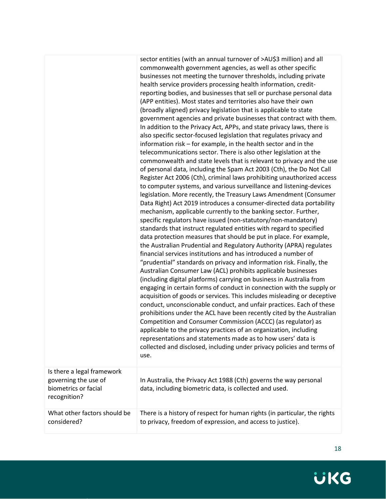|                                                                            | sector entities (with an annual turnover of >AU\$3 million) and all<br>commonwealth government agencies, as well as other specific<br>businesses not meeting the turnover thresholds, including private<br>health service providers processing health information, credit-<br>reporting bodies, and businesses that sell or purchase personal data<br>(APP entities). Most states and territories also have their own<br>(broadly aligned) privacy legislation that is applicable to state<br>government agencies and private businesses that contract with them.<br>In addition to the Privacy Act, APPs, and state privacy laws, there is<br>also specific sector-focused legislation that regulates privacy and<br>information risk – for example, in the health sector and in the<br>telecommunications sector. There is also other legislation at the<br>commonwealth and state levels that is relevant to privacy and the use<br>of personal data, including the Spam Act 2003 (Cth), the Do Not Call<br>Register Act 2006 (Cth), criminal laws prohibiting unauthorized access<br>to computer systems, and various surveillance and listening-devices<br>legislation. More recently, the Treasury Laws Amendment (Consumer<br>Data Right) Act 2019 introduces a consumer-directed data portability<br>mechanism, applicable currently to the banking sector. Further,<br>specific regulators have issued (non-statutory/non-mandatory)<br>standards that instruct regulated entities with regard to specified<br>data protection measures that should be put in place. For example,<br>the Australian Prudential and Regulatory Authority (APRA) regulates<br>financial services institutions and has introduced a number of<br>"prudential" standards on privacy and information risk. Finally, the<br>Australian Consumer Law (ACL) prohibits applicable businesses<br>(including digital platforms) carrying on business in Australia from<br>engaging in certain forms of conduct in connection with the supply or<br>acquisition of goods or services. This includes misleading or deceptive<br>conduct, unconscionable conduct, and unfair practices. Each of these<br>prohibitions under the ACL have been recently cited by the Australian<br>Competition and Consumer Commission (ACCC) (as regulator) as<br>applicable to the privacy practices of an organization, including<br>representations and statements made as to how users' data is<br>collected and disclosed, including under privacy policies and terms of<br>use. |
|----------------------------------------------------------------------------|--------------------------------------------------------------------------------------------------------------------------------------------------------------------------------------------------------------------------------------------------------------------------------------------------------------------------------------------------------------------------------------------------------------------------------------------------------------------------------------------------------------------------------------------------------------------------------------------------------------------------------------------------------------------------------------------------------------------------------------------------------------------------------------------------------------------------------------------------------------------------------------------------------------------------------------------------------------------------------------------------------------------------------------------------------------------------------------------------------------------------------------------------------------------------------------------------------------------------------------------------------------------------------------------------------------------------------------------------------------------------------------------------------------------------------------------------------------------------------------------------------------------------------------------------------------------------------------------------------------------------------------------------------------------------------------------------------------------------------------------------------------------------------------------------------------------------------------------------------------------------------------------------------------------------------------------------------------------------------------------------------------------------------------------------------------------------------------------------------------------------------------------------------------------------------------------------------------------------------------------------------------------------------------------------------------------------------------------------------------------------------------------------------------------------------------------------------------------------------------------------------------------------------------------------|
| Is there a legal framework<br>governing the use of<br>biometrics or facial | In Australia, the Privacy Act 1988 (Cth) governs the way personal<br>data, including biometric data, is collected and used.                                                                                                                                                                                                                                                                                                                                                                                                                                                                                                                                                                                                                                                                                                                                                                                                                                                                                                                                                                                                                                                                                                                                                                                                                                                                                                                                                                                                                                                                                                                                                                                                                                                                                                                                                                                                                                                                                                                                                                                                                                                                                                                                                                                                                                                                                                                                                                                                                      |
| recognition?<br>What other factors should be<br>considered?                | There is a history of respect for human rights (in particular, the rights<br>to privacy, freedom of expression, and access to justice).                                                                                                                                                                                                                                                                                                                                                                                                                                                                                                                                                                                                                                                                                                                                                                                                                                                                                                                                                                                                                                                                                                                                                                                                                                                                                                                                                                                                                                                                                                                                                                                                                                                                                                                                                                                                                                                                                                                                                                                                                                                                                                                                                                                                                                                                                                                                                                                                          |

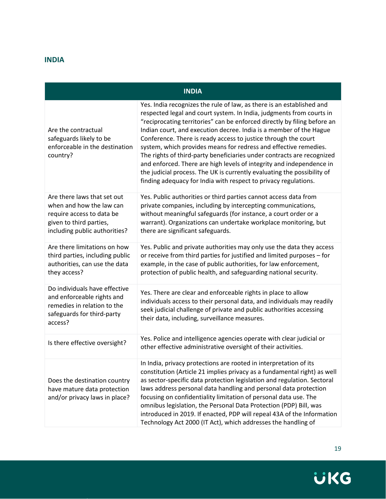#### <span id="page-19-0"></span>**INDIA**

|  | <b>INDIA</b> |
|--|--------------|
|  |              |

| Are the contractual<br>safeguards likely to be<br>enforceable in the destination<br>country?                                                     | Yes. India recognizes the rule of law, as there is an established and<br>respected legal and court system. In India, judgments from courts in<br>"reciprocating territories" can be enforced directly by filing before an<br>Indian court, and execution decree. India is a member of the Hague<br>Conference. There is ready access to justice through the court<br>system, which provides means for redress and effective remedies.<br>The rights of third-party beneficiaries under contracts are recognized<br>and enforced. There are high levels of integrity and independence in<br>the judicial process. The UK is currently evaluating the possibility of<br>finding adequacy for India with respect to privacy regulations. |
|--------------------------------------------------------------------------------------------------------------------------------------------------|---------------------------------------------------------------------------------------------------------------------------------------------------------------------------------------------------------------------------------------------------------------------------------------------------------------------------------------------------------------------------------------------------------------------------------------------------------------------------------------------------------------------------------------------------------------------------------------------------------------------------------------------------------------------------------------------------------------------------------------|
| Are there laws that set out<br>when and how the law can<br>require access to data be<br>given to third parties,<br>including public authorities? | Yes. Public authorities or third parties cannot access data from<br>private companies, including by intercepting communications,<br>without meaningful safeguards (for instance, a court order or a<br>warrant). Organizations can undertake workplace monitoring, but<br>there are significant safeguards.                                                                                                                                                                                                                                                                                                                                                                                                                           |
| Are there limitations on how<br>third parties, including public<br>authorities, can use the data<br>they access?                                 | Yes. Public and private authorities may only use the data they access<br>or receive from third parties for justified and limited purposes - for<br>example, in the case of public authorities, for law enforcement,<br>protection of public health, and safeguarding national security.                                                                                                                                                                                                                                                                                                                                                                                                                                               |
| Do individuals have effective<br>and enforceable rights and<br>remedies in relation to the<br>safeguards for third-party<br>access?              | Yes. There are clear and enforceable rights in place to allow<br>individuals access to their personal data, and individuals may readily<br>seek judicial challenge of private and public authorities accessing<br>their data, including, surveillance measures.                                                                                                                                                                                                                                                                                                                                                                                                                                                                       |
| Is there effective oversight?                                                                                                                    | Yes. Police and intelligence agencies operate with clear judicial or<br>other effective administrative oversight of their activities.                                                                                                                                                                                                                                                                                                                                                                                                                                                                                                                                                                                                 |
| Does the destination country<br>have mature data protection<br>and/or privacy laws in place?                                                     | In India, privacy protections are rooted in interpretation of its<br>constitution (Article 21 implies privacy as a fundamental right) as well<br>as sector-specific data protection legislation and regulation. Sectoral<br>laws address personal data handling and personal data protection<br>focusing on confidentiality limitation of personal data use. The<br>omnibus legislation, the Personal Data Protection (PDP) Bill, was<br>introduced in 2019. If enacted, PDP will repeal 43A of the Information<br>Technology Act 2000 (IT Act), which addresses the handling of                                                                                                                                                      |

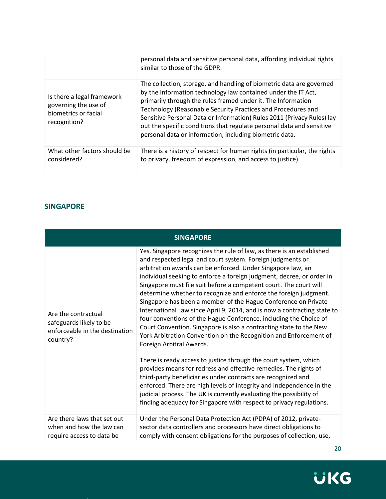|                                                                                            | personal data and sensitive personal data, affording individual rights<br>similar to those of the GDPR.                                                                                                                                                                                                                                                                                                                                                                             |
|--------------------------------------------------------------------------------------------|-------------------------------------------------------------------------------------------------------------------------------------------------------------------------------------------------------------------------------------------------------------------------------------------------------------------------------------------------------------------------------------------------------------------------------------------------------------------------------------|
| Is there a legal framework<br>governing the use of<br>biometrics or facial<br>recognition? | The collection, storage, and handling of biometric data are governed<br>by the Information technology law contained under the IT Act,<br>primarily through the rules framed under it. The Information<br>Technology (Reasonable Security Practices and Procedures and<br>Sensitive Personal Data or Information) Rules 2011 (Privacy Rules) lay<br>out the specific conditions that regulate personal data and sensitive<br>personal data or information, including biometric data. |
| What other factors should be<br>considered?                                                | There is a history of respect for human rights (in particular, the rights<br>to privacy, freedom of expression, and access to justice).                                                                                                                                                                                                                                                                                                                                             |

#### <span id="page-20-1"></span><span id="page-20-0"></span>**SINGAPORE**

| <b>SINGAPORE</b>                                                                             |                                                                                                                                                                                                                                                                                                                                                                                                                                                                                                                                                                                                                                                                                                                                                                                                                                                                                                                                                                                                                                                                                                                                                                                                                                              |  |
|----------------------------------------------------------------------------------------------|----------------------------------------------------------------------------------------------------------------------------------------------------------------------------------------------------------------------------------------------------------------------------------------------------------------------------------------------------------------------------------------------------------------------------------------------------------------------------------------------------------------------------------------------------------------------------------------------------------------------------------------------------------------------------------------------------------------------------------------------------------------------------------------------------------------------------------------------------------------------------------------------------------------------------------------------------------------------------------------------------------------------------------------------------------------------------------------------------------------------------------------------------------------------------------------------------------------------------------------------|--|
| Are the contractual<br>safeguards likely to be<br>enforceable in the destination<br>country? | Yes. Singapore recognizes the rule of law, as there is an established<br>and respected legal and court system. Foreign judgments or<br>arbitration awards can be enforced. Under Singapore law, an<br>individual seeking to enforce a foreign judgment, decree, or order in<br>Singapore must file suit before a competent court. The court will<br>determine whether to recognize and enforce the foreign judgment.<br>Singapore has been a member of the Hague Conference on Private<br>International Law since April 9, 2014, and is now a contracting state to<br>four conventions of the Hague Conference, including the Choice of<br>Court Convention. Singapore is also a contracting state to the New<br>York Arbitration Convention on the Recognition and Enforcement of<br>Foreign Arbitral Awards.<br>There is ready access to justice through the court system, which<br>provides means for redress and effective remedies. The rights of<br>third-party beneficiaries under contracts are recognized and<br>enforced. There are high levels of integrity and independence in the<br>judicial process. The UK is currently evaluating the possibility of<br>finding adequacy for Singapore with respect to privacy regulations. |  |
| Are there laws that set out<br>when and how the law can<br>require access to data be         | Under the Personal Data Protection Act (PDPA) of 2012, private-<br>sector data controllers and processors have direct obligations to<br>comply with consent obligations for the purposes of collection, use,                                                                                                                                                                                                                                                                                                                                                                                                                                                                                                                                                                                                                                                                                                                                                                                                                                                                                                                                                                                                                                 |  |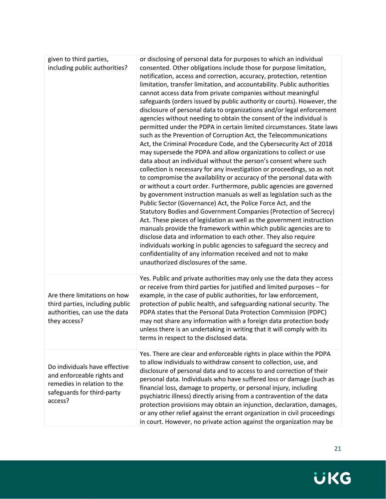| given to third parties,<br>including public authorities?                                                                            | or disclosing of personal data for purposes to which an individual<br>consented. Other obligations include those for purpose limitation,<br>notification, access and correction, accuracy, protection, retention<br>limitation, transfer limitation, and accountability. Public authorities<br>cannot access data from private companies without meaningful<br>safeguards (orders issued by public authority or courts). However, the<br>disclosure of personal data to organizations and/or legal enforcement<br>agencies without needing to obtain the consent of the individual is<br>permitted under the PDPA in certain limited circumstances. State laws<br>such as the Prevention of Corruption Act, the Telecommunications<br>Act, the Criminal Procedure Code, and the Cybersecurity Act of 2018<br>may supersede the PDPA and allow organizations to collect or use<br>data about an individual without the person's consent where such<br>collection is necessary for any investigation or proceedings, so as not<br>to compromise the availability or accuracy of the personal data with<br>or without a court order. Furthermore, public agencies are governed<br>by government instruction manuals as well as legislation such as the<br>Public Sector (Governance) Act, the Police Force Act, and the<br>Statutory Bodies and Government Companies (Protection of Secrecy)<br>Act. These pieces of legislation as well as the government instruction<br>manuals provide the framework within which public agencies are to<br>disclose data and information to each other. They also require<br>individuals working in public agencies to safeguard the secrecy and<br>confidentiality of any information received and not to make<br>unauthorized disclosures of the same. |
|-------------------------------------------------------------------------------------------------------------------------------------|-------------------------------------------------------------------------------------------------------------------------------------------------------------------------------------------------------------------------------------------------------------------------------------------------------------------------------------------------------------------------------------------------------------------------------------------------------------------------------------------------------------------------------------------------------------------------------------------------------------------------------------------------------------------------------------------------------------------------------------------------------------------------------------------------------------------------------------------------------------------------------------------------------------------------------------------------------------------------------------------------------------------------------------------------------------------------------------------------------------------------------------------------------------------------------------------------------------------------------------------------------------------------------------------------------------------------------------------------------------------------------------------------------------------------------------------------------------------------------------------------------------------------------------------------------------------------------------------------------------------------------------------------------------------------------------------------------------------------------------------------------------------------------------------|
| Are there limitations on how<br>third parties, including public<br>authorities, can use the data<br>they access?                    | Yes. Public and private authorities may only use the data they access<br>or receive from third parties for justified and limited purposes - for<br>example, in the case of public authorities, for law enforcement,<br>protection of public health, and safeguarding national security. The<br>PDPA states that the Personal Data Protection Commission (PDPC)<br>may not share any information with a foreign data protection body<br>unless there is an undertaking in writing that it will comply with its<br>terms in respect to the disclosed data.                                                                                                                                                                                                                                                                                                                                                                                                                                                                                                                                                                                                                                                                                                                                                                                                                                                                                                                                                                                                                                                                                                                                                                                                                                  |
| Do individuals have effective<br>and enforceable rights and<br>remedies in relation to the<br>safeguards for third-party<br>access? | Yes. There are clear and enforceable rights in place within the PDPA<br>to allow individuals to withdraw consent to collection, use, and<br>disclosure of personal data and to access to and correction of their<br>personal data. Individuals who have suffered loss or damage (such as<br>financial loss, damage to property, or personal injury, including<br>psychiatric illness) directly arising from a contravention of the data<br>protection provisions may obtain an injunction, declaration, damages,<br>or any other relief against the errant organization in civil proceedings<br>in court. However, no private action against the organization may be                                                                                                                                                                                                                                                                                                                                                                                                                                                                                                                                                                                                                                                                                                                                                                                                                                                                                                                                                                                                                                                                                                                      |